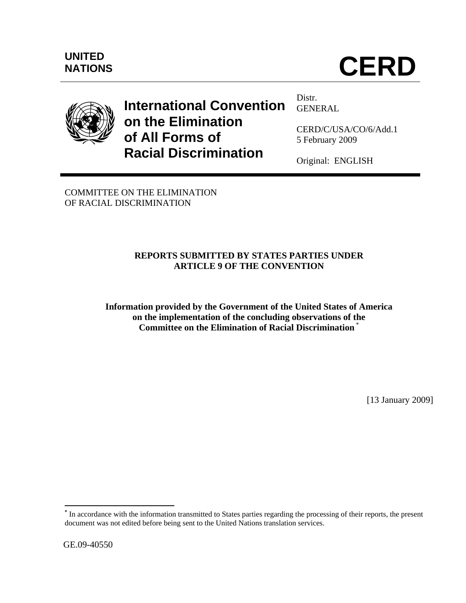

# **International Convention on the Elimination of All Forms of Racial Discrimination**

Distr. GENERAL

CERD/C/USA/CO/6/Add.1 5 February 2009

Original: ENGLISH

COMMITTEE ON THE ELIMINATION OF RACIAL DISCRIMINATION

# **REPORTS SUBMITTED BY STATES PARTIES UNDER ARTICLE 9 OF THE CONVENTION**

**Information provided by the Government of the United States of America on the implementation of the concluding observations of the Committee on the Elimination of Racial Discrimination** \*

[13 January 2009]

<sup>1</sup> **\*** In accordance with the information transmitted to States parties regarding the processing of their reports, the present document was not edited before being sent to the United Nations translation services.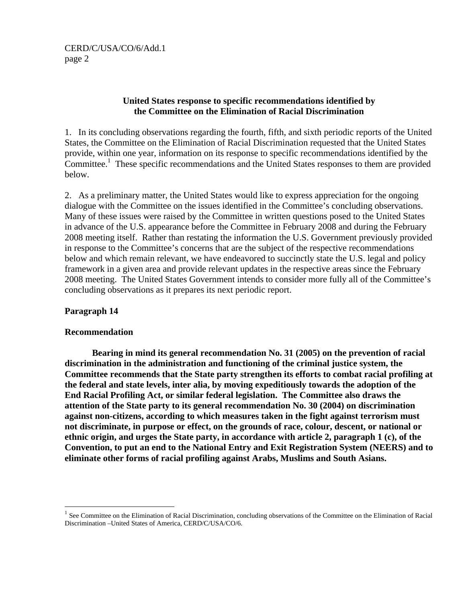# **United States response to specific recommendations identified by the Committee on the Elimination of Racial Discrimination**

1. In its concluding observations regarding the fourth, fifth, and sixth periodic reports of the United States, the Committee on the Elimination of Racial Discrimination requested that the United States provide, within one year, information on its response to specific recommendations identified by the Committee.<sup>1</sup> These specific recommendations and the United States responses to them are provided below.

2. As a preliminary matter, the United States would like to express appreciation for the ongoing dialogue with the Committee on the issues identified in the Committee's concluding observations. Many of these issues were raised by the Committee in written questions posed to the United States in advance of the U.S. appearance before the Committee in February 2008 and during the February 2008 meeting itself. Rather than restating the information the U.S. Government previously provided in response to the Committee's concerns that are the subject of the respective recommendations below and which remain relevant, we have endeavored to succinctly state the U.S. legal and policy framework in a given area and provide relevant updates in the respective areas since the February 2008 meeting. The United States Government intends to consider more fully all of the Committee's concluding observations as it prepares its next periodic report.

## **Paragraph 14**

<u>.</u>

## **Recommendation**

**Bearing in mind its general recommendation No. 31 (2005) on the prevention of racial discrimination in the administration and functioning of the criminal justice system, the Committee recommends that the State party strengthen its efforts to combat racial profiling at the federal and state levels, inter alia, by moving expeditiously towards the adoption of the End Racial Profiling Act, or similar federal legislation. The Committee also draws the attention of the State party to its general recommendation No. 30 (2004) on discrimination against non-citizens, according to which measures taken in the fight against terrorism must not discriminate, in purpose or effect, on the grounds of race, colour, descent, or national or ethnic origin, and urges the State party, in accordance with article 2, paragraph 1 (c), of the Convention, to put an end to the National Entry and Exit Registration System (NEERS) and to eliminate other forms of racial profiling against Arabs, Muslims and South Asians.** 

<sup>&</sup>lt;sup>1</sup> See Committee on the Elimination of Racial Discrimination, concluding observations of the Committee on the Elimination of Racial Discrimination –United States of America, CERD/C/USA/CO/6.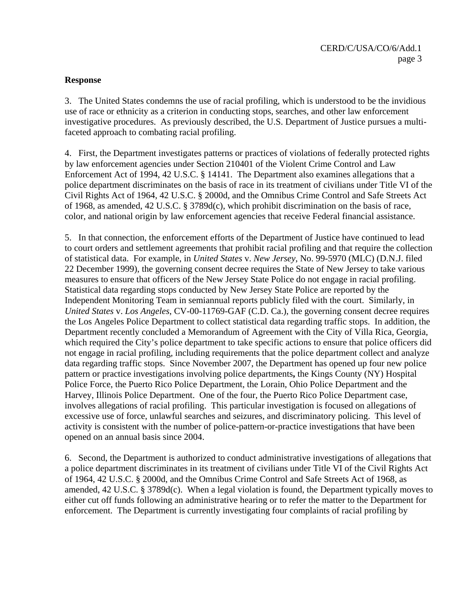# **Response**

3. The United States condemns the use of racial profiling, which is understood to be the invidious use of race or ethnicity as a criterion in conducting stops, searches, and other law enforcement investigative procedures. As previously described, the U.S. Department of Justice pursues a multifaceted approach to combating racial profiling.

4. First, the Department investigates patterns or practices of violations of federally protected rights by law enforcement agencies under Section 210401 of the Violent Crime Control and Law Enforcement Act of 1994, 42 U.S.C. § 14141. The Department also examines allegations that a police department discriminates on the basis of race in its treatment of civilians under Title VI of the Civil Rights Act of 1964, 42 U.S.C. § 2000d, and the Omnibus Crime Control and Safe Streets Act of 1968, as amended, 42 U.S.C. § 3789d(c), which prohibit discrimination on the basis of race, color, and national origin by law enforcement agencies that receive Federal financial assistance.

5. In that connection, the enforcement efforts of the Department of Justice have continued to lead to court orders and settlement agreements that prohibit racial profiling and that require the collection of statistical data. For example, in *United States* v. *New Jersey*, No. 99-5970 (MLC) (D.N.J. filed 22 December 1999), the governing consent decree requires the State of New Jersey to take various measures to ensure that officers of the New Jersey State Police do not engage in racial profiling. Statistical data regarding stops conducted by New Jersey State Police are reported by the Independent Monitoring Team in semiannual reports publicly filed with the court. Similarly, in *United States* v. *Los Angeles*, CV-00-11769-GAF (C.D. Ca.), the governing consent decree requires the Los Angeles Police Department to collect statistical data regarding traffic stops. In addition, the Department recently concluded a Memorandum of Agreement with the City of Villa Rica, Georgia, which required the City's police department to take specific actions to ensure that police officers did not engage in racial profiling, including requirements that the police department collect and analyze data regarding traffic stops. Since November 2007, the Department has opened up four new police pattern or practice investigations involving police departments**,** the Kings County (NY) Hospital Police Force, the Puerto Rico Police Department, the Lorain, Ohio Police Department and the Harvey, Illinois Police Department. One of the four, the Puerto Rico Police Department case, involves allegations of racial profiling. This particular investigation is focused on allegations of excessive use of force, unlawful searches and seizures, and discriminatory policing. This level of activity is consistent with the number of police-pattern-or-practice investigations that have been opened on an annual basis since 2004.

6. Second, the Department is authorized to conduct administrative investigations of allegations that a police department discriminates in its treatment of civilians under Title VI of the Civil Rights Act of 1964, 42 U.S.C. § 2000d, and the Omnibus Crime Control and Safe Streets Act of 1968, as amended, 42 U.S.C. § 3789d(c). When a legal violation is found, the Department typically moves to either cut off funds following an administrative hearing or to refer the matter to the Department for enforcement. The Department is currently investigating four complaints of racial profiling by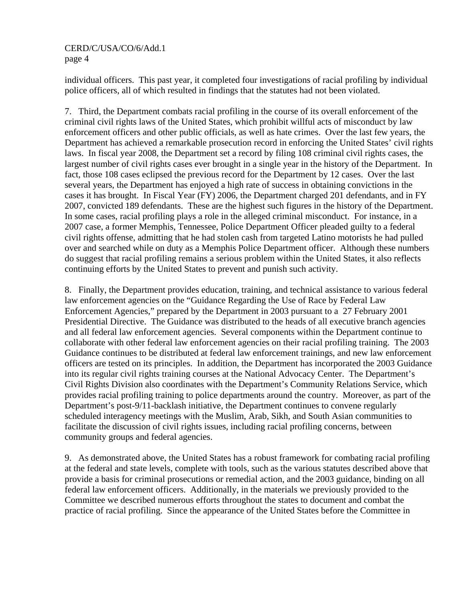individual officers. This past year, it completed four investigations of racial profiling by individual police officers, all of which resulted in findings that the statutes had not been violated.

7. Third, the Department combats racial profiling in the course of its overall enforcement of the criminal civil rights laws of the United States, which prohibit willful acts of misconduct by law enforcement officers and other public officials, as well as hate crimes. Over the last few years, the Department has achieved a remarkable prosecution record in enforcing the United States' civil rights laws. In fiscal year 2008, the Department set a record by filing 108 criminal civil rights cases, the largest number of civil rights cases ever brought in a single year in the history of the Department. In fact, those 108 cases eclipsed the previous record for the Department by 12 cases. Over the last several years, the Department has enjoyed a high rate of success in obtaining convictions in the cases it has brought. In Fiscal Year (FY) 2006, the Department charged 201 defendants, and in FY 2007, convicted 189 defendants. These are the highest such figures in the history of the Department. In some cases, racial profiling plays a role in the alleged criminal misconduct. For instance, in a 2007 case, a former Memphis, Tennessee, Police Department Officer pleaded guilty to a federal civil rights offense, admitting that he had stolen cash from targeted Latino motorists he had pulled over and searched while on duty as a Memphis Police Department officer. Although these numbers do suggest that racial profiling remains a serious problem within the United States, it also reflects continuing efforts by the United States to prevent and punish such activity.

8. Finally, the Department provides education, training, and technical assistance to various federal law enforcement agencies on the "Guidance Regarding the Use of Race by Federal Law Enforcement Agencies," prepared by the Department in 2003 pursuant to a 27 February 2001 Presidential Directive. The Guidance was distributed to the heads of all executive branch agencies and all federal law enforcement agencies. Several components within the Department continue to collaborate with other federal law enforcement agencies on their racial profiling training. The 2003 Guidance continues to be distributed at federal law enforcement trainings, and new law enforcement officers are tested on its principles. In addition, the Department has incorporated the 2003 Guidance into its regular civil rights training courses at the National Advocacy Center. The Department's Civil Rights Division also coordinates with the Department's Community Relations Service, which provides racial profiling training to police departments around the country. Moreover, as part of the Department's post-9/11-backlash initiative, the Department continues to convene regularly scheduled interagency meetings with the Muslim, Arab, Sikh, and South Asian communities to facilitate the discussion of civil rights issues, including racial profiling concerns, between community groups and federal agencies.

9. As demonstrated above, the United States has a robust framework for combating racial profiling at the federal and state levels, complete with tools, such as the various statutes described above that provide a basis for criminal prosecutions or remedial action, and the 2003 guidance, binding on all federal law enforcement officers. Additionally, in the materials we previously provided to the Committee we described numerous efforts throughout the states to document and combat the practice of racial profiling. Since the appearance of the United States before the Committee in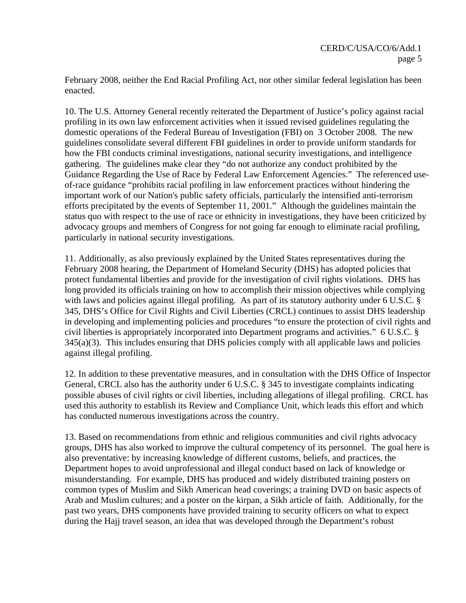February 2008, neither the End Racial Profiling Act, nor other similar federal legislation has been enacted.

10. The U.S. Attorney General recently reiterated the Department of Justice's policy against racial profiling in its own law enforcement activities when it issued revised guidelines regulating the domestic operations of the Federal Bureau of Investigation (FBI) on 3 October 2008. The new guidelines consolidate several different FBI guidelines in order to provide uniform standards for how the FBI conducts criminal investigations, national security investigations, and intelligence gathering. The guidelines make clear they "do not authorize any conduct prohibited by the Guidance Regarding the Use of Race by Federal Law Enforcement Agencies." The referenced useof-race guidance "prohibits racial profiling in law enforcement practices without hindering the important work of our Nation's public safety officials, particularly the intensified anti-terrorism efforts precipitated by the events of September 11, 2001." Although the guidelines maintain the status quo with respect to the use of race or ethnicity in investigations, they have been criticized by advocacy groups and members of Congress for not going far enough to eliminate racial profiling, particularly in national security investigations.

11. Additionally, as also previously explained by the United States representatives during the February 2008 hearing, the Department of Homeland Security (DHS) has adopted policies that protect fundamental liberties and provide for the investigation of civil rights violations. DHS has long provided its officials training on how to accomplish their mission objectives while complying with laws and policies against illegal profiling. As part of its statutory authority under 6 U.S.C. § 345, DHS's Office for Civil Rights and Civil Liberties (CRCL) continues to assist DHS leadership in developing and implementing policies and procedures "to ensure the protection of civil rights and civil liberties is appropriately incorporated into Department programs and activities." 6 U.S.C. §  $345(a)(3)$ . This includes ensuring that DHS policies comply with all applicable laws and policies against illegal profiling.

12. In addition to these preventative measures, and in consultation with the DHS Office of Inspector General, CRCL also has the authority under 6 U.S.C. § 345 to investigate complaints indicating possible abuses of civil rights or civil liberties, including allegations of illegal profiling. CRCL has used this authority to establish its Review and Compliance Unit, which leads this effort and which has conducted numerous investigations across the country.

13. Based on recommendations from ethnic and religious communities and civil rights advocacy groups, DHS has also worked to improve the cultural competency of its personnel. The goal here is also preventative: by increasing knowledge of different customs, beliefs, and practices, the Department hopes to avoid unprofessional and illegal conduct based on lack of knowledge or misunderstanding. For example, DHS has produced and widely distributed training posters on common types of Muslim and Sikh American head coverings; a training DVD on basic aspects of Arab and Muslim cultures; and a poster on the kirpan, a Sikh article of faith. Additionally, for the past two years, DHS components have provided training to security officers on what to expect during the Hajj travel season, an idea that was developed through the Department's robust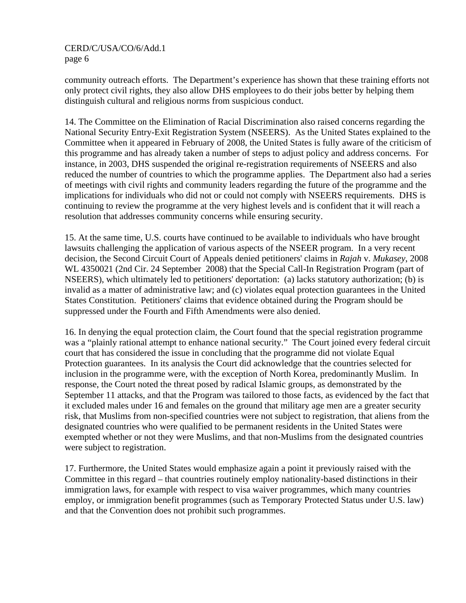community outreach efforts. The Department's experience has shown that these training efforts not only protect civil rights, they also allow DHS employees to do their jobs better by helping them distinguish cultural and religious norms from suspicious conduct.

14. The Committee on the Elimination of Racial Discrimination also raised concerns regarding the National Security Entry-Exit Registration System (NSEERS). As the United States explained to the Committee when it appeared in February of 2008, the United States is fully aware of the criticism of this programme and has already taken a number of steps to adjust policy and address concerns. For instance, in 2003, DHS suspended the original re-registration requirements of NSEERS and also reduced the number of countries to which the programme applies. The Department also had a series of meetings with civil rights and community leaders regarding the future of the programme and the implications for individuals who did not or could not comply with NSEERS requirements. DHS is continuing to review the programme at the very highest levels and is confident that it will reach a resolution that addresses community concerns while ensuring security.

15. At the same time, U.S. courts have continued to be available to individuals who have brought lawsuits challenging the application of various aspects of the NSEER program. In a very recent decision, the Second Circuit Court of Appeals denied petitioners' claims in *Rajah* v. *Mukasey*, 2008 WL 4350021 (2nd Cir. 24 September 2008) that the Special Call-In Registration Program (part of NSEERS), which ultimately led to petitioners' deportation: (a) lacks statutory authorization; (b) is invalid as a matter of administrative law; and (c) violates equal protection guarantees in the United States Constitution. Petitioners' claims that evidence obtained during the Program should be suppressed under the Fourth and Fifth Amendments were also denied.

16. In denying the equal protection claim, the Court found that the special registration programme was a "plainly rational attempt to enhance national security." The Court joined every federal circuit court that has considered the issue in concluding that the programme did not violate Equal Protection guarantees. In its analysis the Court did acknowledge that the countries selected for inclusion in the programme were, with the exception of North Korea, predominantly Muslim. In response, the Court noted the threat posed by radical Islamic groups, as demonstrated by the September 11 attacks, and that the Program was tailored to those facts, as evidenced by the fact that it excluded males under 16 and females on the ground that military age men are a greater security risk, that Muslims from non-specified countries were not subject to registration, that aliens from the designated countries who were qualified to be permanent residents in the United States were exempted whether or not they were Muslims, and that non-Muslims from the designated countries were subject to registration.

17. Furthermore, the United States would emphasize again a point it previously raised with the Committee in this regard – that countries routinely employ nationality-based distinctions in their immigration laws, for example with respect to visa waiver programmes, which many countries employ, or immigration benefit programmes (such as Temporary Protected Status under U.S. law) and that the Convention does not prohibit such programmes.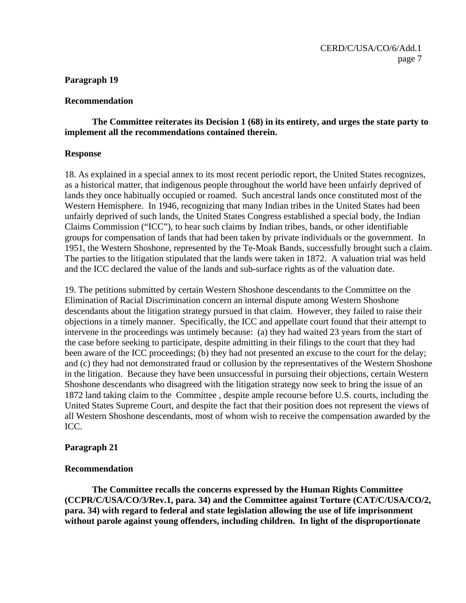#### **Paragraph 19**

#### **Recommendation**

# **The Committee reiterates its Decision 1 (68) in its entirety, and urges the state party to implement all the recommendations contained therein.**

#### **Response**

18. As explained in a special annex to its most recent periodic report, the United States recognizes, as a historical matter, that indigenous people throughout the world have been unfairly deprived of lands they once habitually occupied or roamed. Such ancestral lands once constituted most of the Western Hemisphere. In 1946, recognizing that many Indian tribes in the United States had been unfairly deprived of such lands, the United States Congress established a special body, the Indian Claims Commission ("ICC"), to hear such claims by Indian tribes, bands, or other identifiable groups for compensation of lands that had been taken by private individuals or the government. In 1951, the Western Shoshone, represented by the Te-Moak Bands, successfully brought such a claim. The parties to the litigation stipulated that the lands were taken in 1872. A valuation trial was held and the ICC declared the value of the lands and sub-surface rights as of the valuation date.

19. The petitions submitted by certain Western Shoshone descendants to the Committee on the Elimination of Racial Discrimination concern an internal dispute among Western Shoshone descendants about the litigation strategy pursued in that claim. However, they failed to raise their objections in a timely manner. Specifically, the ICC and appellate court found that their attempt to intervene in the proceedings was untimely because: (a) they had waited 23 years from the start of the case before seeking to participate, despite admitting in their filings to the court that they had been aware of the ICC proceedings; (b) they had not presented an excuse to the court for the delay; and (c) they had not demonstrated fraud or collusion by the representatives of the Western Shoshone in the litigation. Because they have been unsuccessful in pursuing their objections, certain Western Shoshone descendants who disagreed with the litigation strategy now seek to bring the issue of an 1872 land taking claim to the Committee , despite ample recourse before U.S. courts, including the United States Supreme Court, and despite the fact that their position does not represent the views of all Western Shoshone descendants, most of whom wish to receive the compensation awarded by the ICC.

## **Paragraph 21**

#### **Recommendation**

 **The Committee recalls the concerns expressed by the Human Rights Committee (CCPR/C/USA/CO/3/Rev.1, para. 34) and the Committee against Torture (CAT/C/USA/CO/2, para. 34) with regard to federal and state legislation allowing the use of life imprisonment without parole against young offenders, including children. In light of the disproportionate**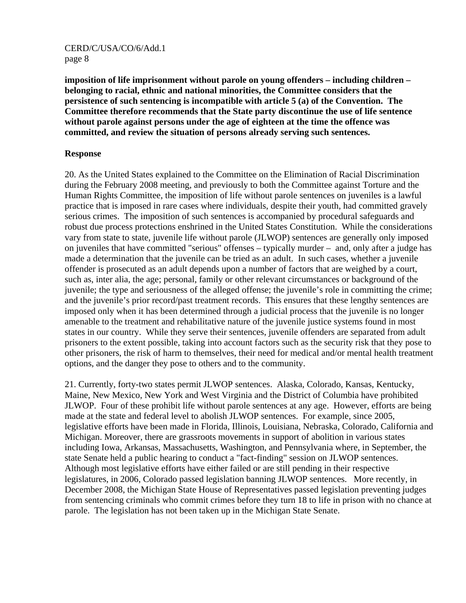**imposition of life imprisonment without parole on young offenders – including children – belonging to racial, ethnic and national minorities, the Committee considers that the persistence of such sentencing is incompatible with article 5 (a) of the Convention. The Committee therefore recommends that the State party discontinue the use of life sentence without parole against persons under the age of eighteen at the time the offence was committed, and review the situation of persons already serving such sentences.** 

#### **Response**

20. As the United States explained to the Committee on the Elimination of Racial Discrimination during the February 2008 meeting, and previously to both the Committee against Torture and the Human Rights Committee, the imposition of life without parole sentences on juveniles is a lawful practice that is imposed in rare cases where individuals, despite their youth, had committed gravely serious crimes. The imposition of such sentences is accompanied by procedural safeguards and robust due process protections enshrined in the United States Constitution. While the considerations vary from state to state, juvenile life without parole (JLWOP) sentences are generally only imposed on juveniles that have committed "serious" offenses – typically murder – and, only after a judge has made a determination that the juvenile can be tried as an adult. In such cases, whether a juvenile offender is prosecuted as an adult depends upon a number of factors that are weighed by a court, such as, inter alia, the age; personal, family or other relevant circumstances or background of the juvenile; the type and seriousness of the alleged offense; the juvenile's role in committing the crime; and the juvenile's prior record/past treatment records. This ensures that these lengthy sentences are imposed only when it has been determined through a judicial process that the juvenile is no longer amenable to the treatment and rehabilitative nature of the juvenile justice systems found in most states in our country. While they serve their sentences, juvenile offenders are separated from adult prisoners to the extent possible, taking into account factors such as the security risk that they pose to other prisoners, the risk of harm to themselves, their need for medical and/or mental health treatment options, and the danger they pose to others and to the community.

21. Currently, forty-two states permit JLWOP sentences. Alaska, Colorado, Kansas, Kentucky, Maine, New Mexico, New York and West Virginia and the District of Columbia have prohibited JLWOP. Four of these prohibit life without parole sentences at any age. However, efforts are being made at the state and federal level to abolish JLWOP sentences. For example, since 2005, legislative efforts have been made in Florida, Illinois, Louisiana, Nebraska, Colorado, California and Michigan. Moreover, there are grassroots movements in support of abolition in various states including Iowa, Arkansas, Massachusetts, Washington, and Pennsylvania where, in September, the state Senate held a public hearing to conduct a "fact-finding" session on JLWOP sentences. Although most legislative efforts have either failed or are still pending in their respective legislatures, in 2006, Colorado passed legislation banning JLWOP sentences. More recently, in December 2008, the Michigan State House of Representatives passed legislation preventing judges from sentencing criminals who commit crimes before they turn 18 to life in prison with no chance at parole. The legislation has not been taken up in the Michigan State Senate.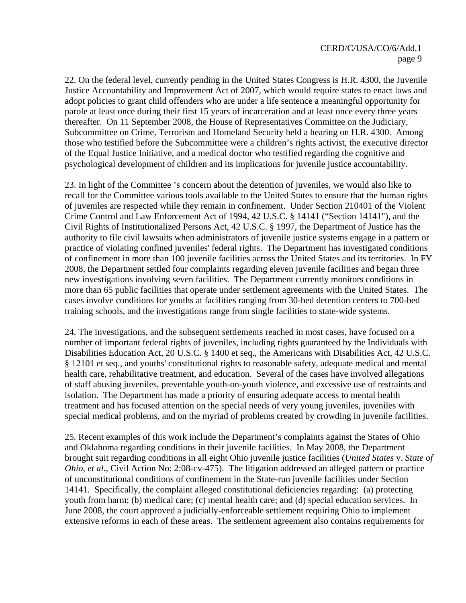22. On the federal level, currently pending in the United States Congress is H.R. 4300, the Juvenile Justice Accountability and Improvement Act of 2007, which would require states to enact laws and adopt policies to grant child offenders who are under a life sentence a meaningful opportunity for parole at least once during their first 15 years of incarceration and at least once every three years thereafter. On 11 September 2008, the House of Representatives Committee on the Judiciary, Subcommittee on Crime, Terrorism and Homeland Security held a hearing on H.R. 4300. Among those who testified before the Subcommittee were a children's rights activist, the executive director of the Equal Justice Initiative, and a medical doctor who testified regarding the cognitive and psychological development of children and its implications for juvenile justice accountability.

23. In light of the Committee 's concern about the detention of juveniles, we would also like to recall for the Committee various tools available to the United States to ensure that the human rights of juveniles are respected while they remain in confinement. Under Section 210401 of the Violent Crime Control and Law Enforcement Act of 1994, 42 U.S.C. § 14141 ("Section 14141"), and the Civil Rights of Institutionalized Persons Act, 42 U.S.C. § 1997, the Department of Justice has the authority to file civil lawsuits when administrators of juvenile justice systems engage in a pattern or practice of violating confined juveniles' federal rights. The Department has investigated conditions of confinement in more than 100 juvenile facilities across the United States and its territories. In FY 2008, the Department settled four complaints regarding eleven juvenile facilities and began three new investigations involving seven facilities. The Department currently monitors conditions in more than 65 public facilities that operate under settlement agreements with the United States. The cases involve conditions for youths at facilities ranging from 30-bed detention centers to 700-bed training schools, and the investigations range from single facilities to state-wide systems.

24. The investigations, and the subsequent settlements reached in most cases, have focused on a number of important federal rights of juveniles, including rights guaranteed by the Individuals with Disabilities Education Act, 20 U.S.C. § 1400 et seq., the Americans with Disabilities Act, 42 U.S.C. § 12101 et seq., and youths' constitutional rights to reasonable safety, adequate medical and mental health care, rehabilitative treatment, and education. Several of the cases have involved allegations of staff abusing juveniles, preventable youth-on-youth violence, and excessive use of restraints and isolation. The Department has made a priority of ensuring adequate access to mental health treatment and has focused attention on the special needs of very young juveniles, juveniles with special medical problems, and on the myriad of problems created by crowding in juvenile facilities.

25. Recent examples of this work include the Department's complaints against the States of Ohio and Oklahoma regarding conditions in their juvenile facilities. In May 2008, the Department brought suit regarding conditions in all eight Ohio juvenile justice facilities (*United States* v. *State of Ohio, et al.*, Civil Action No: 2:08-cv-475). The litigation addressed an alleged pattern or practice of unconstitutional conditions of confinement in the State-run juvenile facilities under Section 14141. Specifically, the complaint alleged constitutional deficiencies regarding: (a) protecting youth from harm; (b) medical care; (c) mental health care; and (d) special education services. In June 2008, the court approved a judicially-enforceable settlement requiring Ohio to implement extensive reforms in each of these areas. The settlement agreement also contains requirements for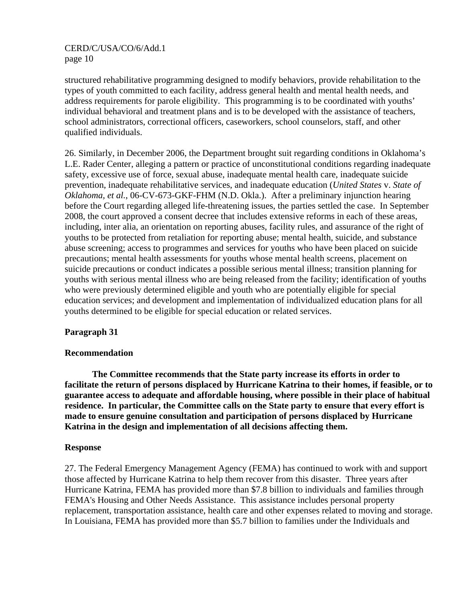structured rehabilitative programming designed to modify behaviors, provide rehabilitation to the types of youth committed to each facility, address general health and mental health needs, and address requirements for parole eligibility. This programming is to be coordinated with youths' individual behavioral and treatment plans and is to be developed with the assistance of teachers, school administrators, correctional officers, caseworkers, school counselors, staff, and other qualified individuals.

26. Similarly, in December 2006, the Department brought suit regarding conditions in Oklahoma's L.E. Rader Center, alleging a pattern or practice of unconstitutional conditions regarding inadequate safety, excessive use of force, sexual abuse, inadequate mental health care, inadequate suicide prevention, inadequate rehabilitative services, and inadequate education (*United States* v. *State of Oklahoma, et al.*, 06-CV-673-GKF-FHM (N.D. Okla.). After a preliminary injunction hearing before the Court regarding alleged life-threatening issues, the parties settled the case. In September 2008, the court approved a consent decree that includes extensive reforms in each of these areas, including, inter alia, an orientation on reporting abuses, facility rules, and assurance of the right of youths to be protected from retaliation for reporting abuse; mental health, suicide, and substance abuse screening; access to programmes and services for youths who have been placed on suicide precautions; mental health assessments for youths whose mental health screens, placement on suicide precautions or conduct indicates a possible serious mental illness; transition planning for youths with serious mental illness who are being released from the facility; identification of youths who were previously determined eligible and youth who are potentially eligible for special education services; and development and implementation of individualized education plans for all youths determined to be eligible for special education or related services.

## **Paragraph 31**

## **Recommendation**

 **The Committee recommends that the State party increase its efforts in order to facilitate the return of persons displaced by Hurricane Katrina to their homes, if feasible, or to guarantee access to adequate and affordable housing, where possible in their place of habitual residence. In particular, the Committee calls on the State party to ensure that every effort is made to ensure genuine consultation and participation of persons displaced by Hurricane Katrina in the design and implementation of all decisions affecting them.** 

## **Response**

27. The Federal Emergency Management Agency (FEMA) has continued to work with and support those affected by Hurricane Katrina to help them recover from this disaster. Three years after Hurricane Katrina, FEMA has provided more than \$7.8 billion to individuals and families through FEMA's Housing and Other Needs Assistance. This assistance includes personal property replacement, transportation assistance, health care and other expenses related to moving and storage. In Louisiana, FEMA has provided more than \$5.7 billion to families under the Individuals and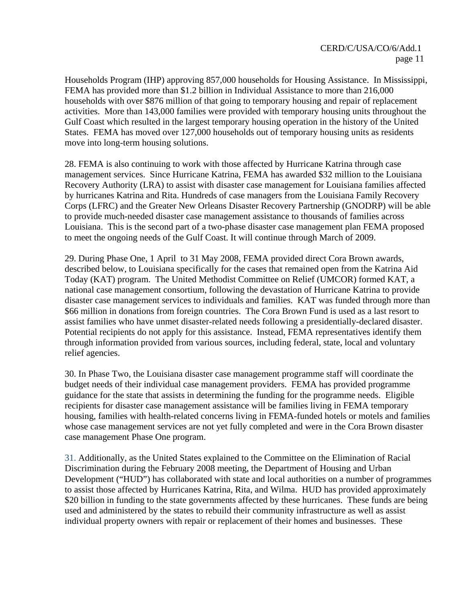Households Program (IHP) approving 857,000 households for Housing Assistance. In Mississippi, FEMA has provided more than \$1.2 billion in Individual Assistance to more than 216,000 households with over \$876 million of that going to temporary housing and repair of replacement activities. More than 143,000 families were provided with temporary housing units throughout the Gulf Coast which resulted in the largest temporary housing operation in the history of the United States. FEMA has moved over 127,000 households out of temporary housing units as residents move into long-term housing solutions.

28. FEMA is also continuing to work with those affected by Hurricane Katrina through case management services. Since Hurricane Katrina, FEMA has awarded \$32 million to the Louisiana Recovery Authority (LRA) to assist with disaster case management for Louisiana families affected by hurricanes Katrina and Rita. Hundreds of case managers from the Louisiana Family Recovery Corps (LFRC) and the Greater New Orleans Disaster Recovery Partnership (GNODRP) will be able to provide much-needed disaster case management assistance to thousands of families across Louisiana. This is the second part of a two-phase disaster case management plan FEMA proposed to meet the ongoing needs of the Gulf Coast. It will continue through March of 2009.

29. During Phase One, 1 April to 31 May 2008, FEMA provided direct Cora Brown awards, described below, to Louisiana specifically for the cases that remained open from the Katrina Aid Today (KAT) program. The United Methodist Committee on Relief (UMCOR) formed KAT, a national case management consortium, following the devastation of Hurricane Katrina to provide disaster case management services to individuals and families. KAT was funded through more than \$66 million in donations from foreign countries. The Cora Brown Fund is used as a last resort to assist families who have unmet disaster-related needs following a presidentially-declared disaster. Potential recipients do not apply for this assistance. Instead, FEMA representatives identify them through information provided from various sources, including federal, state, local and voluntary relief agencies.

30. In Phase Two, the Louisiana disaster case management programme staff will coordinate the budget needs of their individual case management providers. FEMA has provided programme guidance for the state that assists in determining the funding for the programme needs. Eligible recipients for disaster case management assistance will be families living in FEMA temporary housing, families with health-related concerns living in FEMA-funded hotels or motels and families whose case management services are not yet fully completed and were in the Cora Brown disaster case management Phase One program.

31. Additionally, as the United States explained to the Committee on the Elimination of Racial Discrimination during the February 2008 meeting, the Department of Housing and Urban Development ("HUD") has collaborated with state and local authorities on a number of programmes to assist those affected by Hurricanes Katrina, Rita, and Wilma. HUD has provided approximately \$20 billion in funding to the state governments affected by these hurricanes. These funds are being used and administered by the states to rebuild their community infrastructure as well as assist individual property owners with repair or replacement of their homes and businesses. These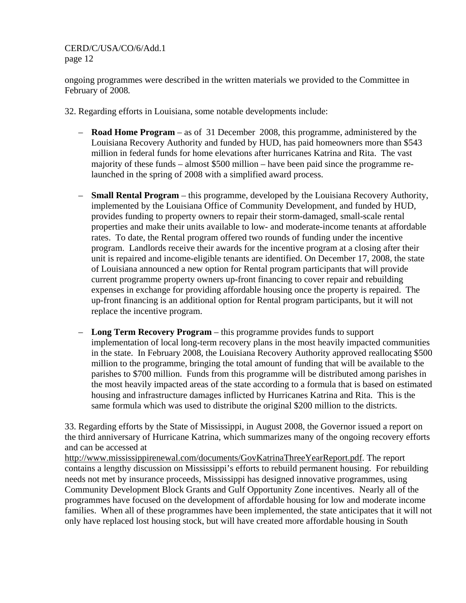ongoing programmes were described in the written materials we provided to the Committee in February of 2008*.*

- 32. Regarding efforts in Louisiana, some notable developments include:
	- **Road Home Program** as of 31 December 2008, this programme, administered by the Louisiana Recovery Authority and funded by HUD, has paid homeowners more than \$543 million in federal funds for home elevations after hurricanes Katrina and Rita. The vast majority of these funds – almost \$500 million – have been paid since the programme relaunched in the spring of 2008 with a simplified award process.
	- **Small Rental Program** this programme, developed by the Louisiana Recovery Authority, implemented by the Louisiana Office of Community Development, and funded by HUD, provides funding to property owners to repair their storm-damaged, small-scale rental properties and make their units available to low- and moderate-income tenants at affordable rates. To date, the Rental program offered two rounds of funding under the incentive program. Landlords receive their awards for the incentive program at a closing after their unit is repaired and income-eligible tenants are identified. On December 17, 2008, the state of Louisiana announced a new option for Rental program participants that will provide current programme property owners up-front financing to cover repair and rebuilding expenses in exchange for providing affordable housing once the property is repaired. The up-front financing is an additional option for Rental program participants, but it will not replace the incentive program.
	- **Long Term Recovery Program** this programme provides funds to support implementation of local long-term recovery plans in the most heavily impacted communities in the state. In February 2008, the Louisiana Recovery Authority approved reallocating \$500 million to the programme, bringing the total amount of funding that will be available to the parishes to \$700 million. Funds from this programme will be distributed among parishes in the most heavily impacted areas of the state according to a formula that is based on estimated housing and infrastructure damages inflicted by Hurricanes Katrina and Rita. This is the same formula which was used to distribute the original \$200 million to the districts.

33. Regarding efforts by the State of Mississippi, in August 2008, the Governor issued a report on the third anniversary of Hurricane Katrina, which summarizes many of the ongoing recovery efforts and can be accessed at

http://www.mississippirenewal.com/documents/GovKatrinaThreeYearReport.pdf. The report contains a lengthy discussion on Mississippi's efforts to rebuild permanent housing. For rebuilding needs not met by insurance proceeds, Mississippi has designed innovative programmes, using Community Development Block Grants and Gulf Opportunity Zone incentives. Nearly all of the programmes have focused on the development of affordable housing for low and moderate income families. When all of these programmes have been implemented, the state anticipates that it will not only have replaced lost housing stock, but will have created more affordable housing in South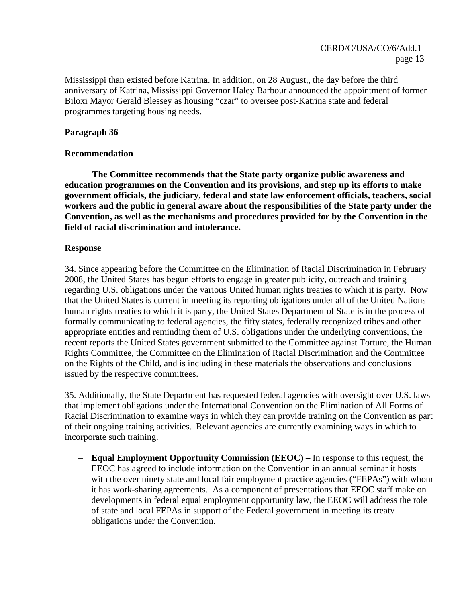Mississippi than existed before Katrina. In addition, on 28 August,, the day before the third anniversary of Katrina, Mississippi Governor Haley Barbour announced the appointment of former Biloxi Mayor Gerald Blessey as housing "czar" to oversee post-Katrina state and federal programmes targeting housing needs.

## **Paragraph 36**

#### **Recommendation**

 **The Committee recommends that the State party organize public awareness and education programmes on the Convention and its provisions, and step up its efforts to make government officials, the judiciary, federal and state law enforcement officials, teachers, social workers and the public in general aware about the responsibilities of the State party under the Convention, as well as the mechanisms and procedures provided for by the Convention in the field of racial discrimination and intolerance.** 

#### **Response**

34. Since appearing before the Committee on the Elimination of Racial Discrimination in February 2008, the United States has begun efforts to engage in greater publicity, outreach and training regarding U.S. obligations under the various United human rights treaties to which it is party. Now that the United States is current in meeting its reporting obligations under all of the United Nations human rights treaties to which it is party, the United States Department of State is in the process of formally communicating to federal agencies, the fifty states, federally recognized tribes and other appropriate entities and reminding them of U.S. obligations under the underlying conventions, the recent reports the United States government submitted to the Committee against Torture, the Human Rights Committee, the Committee on the Elimination of Racial Discrimination and the Committee on the Rights of the Child, and is including in these materials the observations and conclusions issued by the respective committees.

35. Additionally, the State Department has requested federal agencies with oversight over U.S. laws that implement obligations under the International Convention on the Elimination of All Forms of Racial Discrimination to examine ways in which they can provide training on the Convention as part of their ongoing training activities. Relevant agencies are currently examining ways in which to incorporate such training.

– **Equal Employment Opportunity Commission (EEOC) –** In response to this request, the EEOC has agreed to include information on the Convention in an annual seminar it hosts with the over ninety state and local fair employment practice agencies ("FEPAs") with whom it has work-sharing agreements. As a component of presentations that EEOC staff make on developments in federal equal employment opportunity law, the EEOC will address the role of state and local FEPAs in support of the Federal government in meeting its treaty obligations under the Convention.